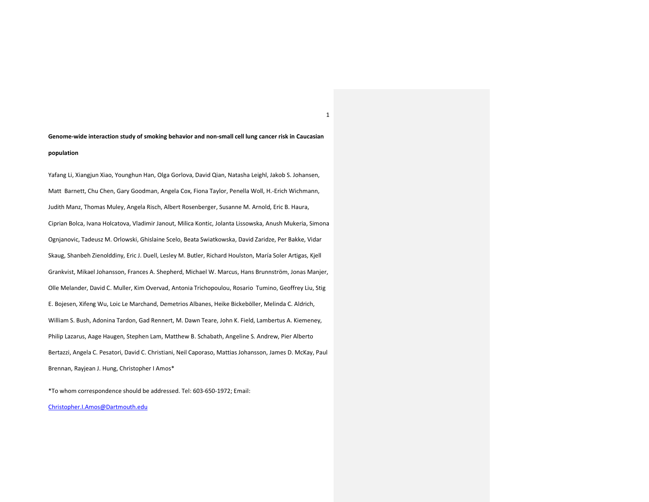# **Genome-wide interaction study of smoking behavior and non-small cell lung cancer risk in Caucasian population**

Yafang Li, Xiangjun Xiao, Younghun Han, Olga Gorlova, David Qian, Natasha Leighl, Jakob S. Johansen, Matt Barnett, Chu Chen, Gary Goodman, Angela Cox, Fiona Taylor, Penella Woll, H.-Erich Wichmann, Judith Manz, Thomas Muley, Angela Risch, Albert Rosenberger, Susanne M. Arnold, Eric B. Haura, Ciprian Bolca, Ivana Holcatova, Vladimir Janout, Milica Kontic, Jolanta Lissowska, Anush Mukeria, Simona Ognjanovic, Tadeusz M. Orlowski, Ghislaine Scelo, Beata Swiatkowska, David Zaridze, Per Bakke, Vidar Skaug, Shanbeh Zienolddiny, Eric J. Duell, Lesley M. Butler, Richard Houlston, María Soler Artigas, Kjell Grankvist, Mikael Johansson, Frances A. Shepherd, Michael W. Marcus, Hans Brunnström, Jonas Manjer, Olle Melander, David C. Muller, Kim Overvad, Antonia Trichopoulou, Rosario Tumino, Geoffrey Liu, Stig E. Bojesen, Xifeng Wu, Loic Le Marchand, Demetrios Albanes, Heike Bickeböller, Melinda C. Aldrich, William S. Bush, Adonina Tardon, Gad Rennert, M. Dawn Teare, John K. Field, Lambertus A. Kiemeney, Philip Lazarus, Aage Haugen, Stephen Lam, Matthew B. Schabath, Angeline S. Andrew, Pier Alberto Bertazzi, Angela C. Pesatori, David C. Christiani, Neil Caporaso, Mattias Johansson, James D. McKay, Paul Brennan, Rayjean J. Hung, Christopher I Amos\*

\*To whom correspondence should be addressed. Tel: 603-650-1972; Email:

Christopher.I.Amos@Dartmouth.edu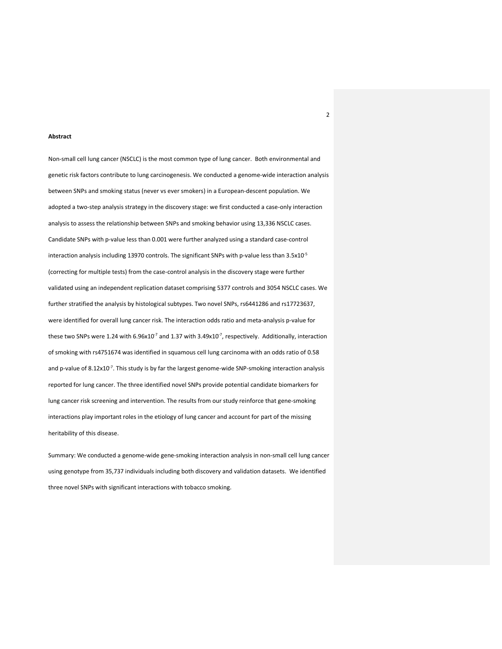## **Abstract**

Non-small cell lung cancer (NSCLC) is the most common type of lung cancer. Both environmental and genetic risk factors contribute to lung carcinogenesis. We conducted a genome-wide interaction analysis between SNPs and smoking status (never vs ever smokers) in a European-descent population. We adopted a two-step analysis strategy in the discovery stage: we first conducted a case-only interaction analysis to assess the relationship between SNPs and smoking behavior using 13,336 NSCLC cases. Candidate SNPs with p-value less than 0.001 were further analyzed using a standard case-control interaction analysis including 13970 controls. The significant SNPs with p-value less than 3.5x10<sup>-5</sup> (correcting for multiple tests) from the case-control analysis in the discovery stage were further validated using an independent replication dataset comprising 5377 controls and 3054 NSCLC cases. We further stratified the analysis by histological subtypes. Two novel SNPs, rs6441286 and rs17723637, were identified for overall lung cancer risk. The interaction odds ratio and meta-analysis p-value for these two SNPs were 1.24 with 6.96x10<sup>-7</sup> and 1.37 with 3.49x10<sup>-7</sup>, respectively. Additionally, interaction of smoking with rs4751674 was identified in squamous cell lung carcinoma with an odds ratio of 0.58 and p-value of 8.12x10<sup>-7</sup>. This study is by far the largest genome-wide SNP-smoking interaction analysis reported for lung cancer. The three identified novel SNPs provide potential candidate biomarkers for lung cancer risk screening and intervention. The results from our study reinforce that gene-smoking interactions play important roles in the etiology of lung cancer and account for part of the missing heritability of this disease.

Summary: We conducted a genome-wide gene-smoking interaction analysis in non-small cell lung cancer using genotype from 35,737 individuals including both discovery and validation datasets. We identified three novel SNPs with significant interactions with tobacco smoking.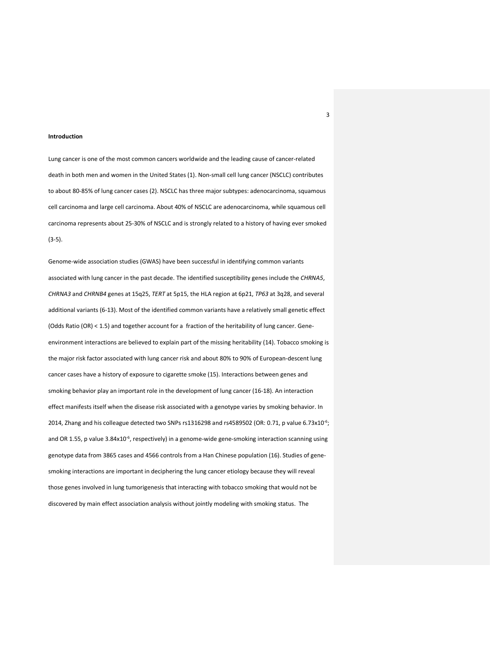# **Introduction**

Lung cancer is one of the most common cancers worldwide and the leading cause of cancer-related death in both men and women in the United States (1). Non-small cell lung cancer (NSCLC) contributes to about 80-85% of lung cancer cases (2). NSCLC has three major subtypes: adenocarcinoma, squamous cell carcinoma and large cell carcinoma. About 40% of NSCLC are adenocarcinoma, while squamous cell carcinoma represents about 25-30% of NSCLC and is strongly related to a history of having ever smoked (3-5).

Genome-wide association studies (GWAS) have been successful in identifying common variants associated with lung cancer in the past decade. The identified susceptibility genes include the *CHRNA5*, *CHRNA3* and *CHRNB4* genes at 15q25, *TERT* at 5p15, the HLA region at 6p21, *TP63* at 3q28, and several additional variants (6-13). Most of the identified common variants have a relatively small genetic effect (Odds Ratio (OR) < 1.5) and together account for a fraction of the heritability of lung cancer. Geneenvironment interactions are believed to explain part of the missing heritability (14). Tobacco smoking is the major risk factor associated with lung cancer risk and about 80% to 90% of European-descent lung cancer cases have a history of exposure to cigarette smoke (15). Interactions between genes and smoking behavior play an important role in the development of lung cancer (16-18). An interaction effect manifests itself when the disease risk associated with a genotype varies by smoking behavior. In 2014, Zhang and his colleague detected two SNPs rs1316298 and rs4589502 (OR: 0.71, p value 6.73x10<sup>-6</sup>; and OR 1.55, p value 3.84x10<sup>-6</sup>, respectively) in a genome-wide gene-smoking interaction scanning using genotype data from 3865 cases and 4566 controls from a Han Chinese population (16). Studies of genesmoking interactions are important in deciphering the lung cancer etiology because they will reveal those genes involved in lung tumorigenesis that interacting with tobacco smoking that would not be discovered by main effect association analysis without jointly modeling with smoking status. The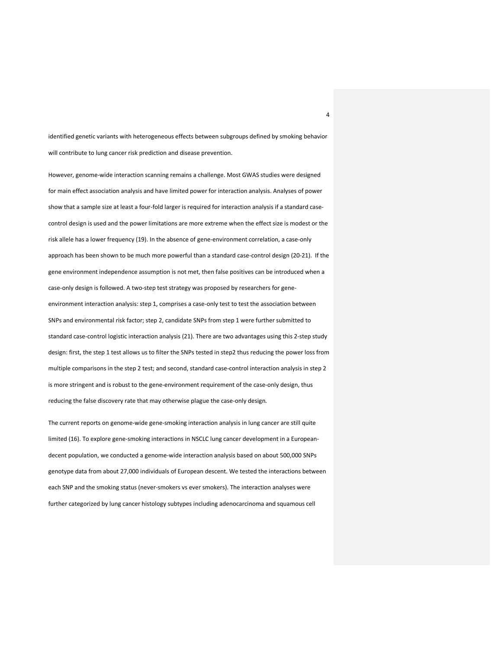identified genetic variants with heterogeneous effects between subgroups defined by smoking behavior will contribute to lung cancer risk prediction and disease prevention.

However, genome-wide interaction scanning remains a challenge. Most GWAS studies were designed for main effect association analysis and have limited power for interaction analysis. Analyses of power show that a sample size at least a four-fold larger is required for interaction analysis if a standard casecontrol design is used and the power limitations are more extreme when the effect size is modest or the risk allele has a lower frequency (19). In the absence of gene-environment correlation, a case-only approach has been shown to be much more powerful than a standard case-control design (20-21). If the gene environment independence assumption is not met, then false positives can be introduced when a case-only design is followed. A two-step test strategy was proposed by researchers for geneenvironment interaction analysis: step 1, comprises a case-only test to test the association between SNPs and environmental risk factor; step 2, candidate SNPs from step 1 were further submitted to standard case-control logistic interaction analysis (21). There are two advantages using this 2-step study design: first, the step 1 test allows us to filter the SNPs tested in step2 thus reducing the power loss from multiple comparisons in the step 2 test; and second, standard case-control interaction analysis in step 2 is more stringent and is robust to the gene-environment requirement of the case-only design, thus reducing the false discovery rate that may otherwise plague the case-only design.

The current reports on genome-wide gene-smoking interaction analysis in lung cancer are still quite limited (16). To explore gene-smoking interactions in NSCLC lung cancer development in a Europeandecent population, we conducted a genome-wide interaction analysis based on about 500,000 SNPs genotype data from about 27,000 individuals of European descent. We tested the interactions between each SNP and the smoking status (never-smokers vs ever smokers). The interaction analyses were further categorized by lung cancer histology subtypes including adenocarcinoma and squamous cell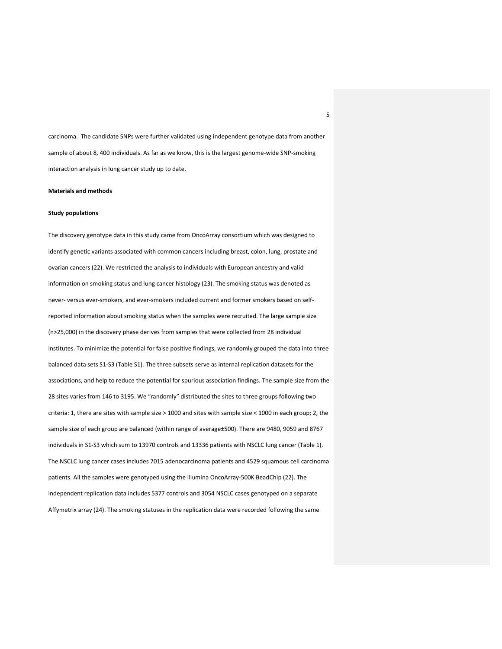carcinoma. The candidate SNPs were further validated using independent genotype data from another sample of about 8, 400 individuals. As far as we know, this is the largest genome-wide SNP-smoking interaction analysis in lung cancer study up to date.

# **Materials and methods**

## **Study populations**

The discovery genotype data in this study came from OncoArray consortium which was designed to identify genetic variants associated with common cancers including breast, colon, lung, prostate and ovarian cancers (22). We restricted the analysis to individuals with European ancestry and valid information on smoking status and lung cancer histology (23). The smoking status was denoted as never- versus ever-smokers, and ever-smokers included current and former smokers based on selfreported information about smoking status when the samples were recruited. The large sample size (n>25,000) in the discovery phase derives from samples that were collected from 28 individual institutes. To minimize the potential for false positive findings, we randomly grouped the data into three balanced data sets S1-S3 (Table S1). The three subsets serve as internal replication datasets for the associations, and help to reduce the potential for spurious association findings. The sample size from the 28 sites varies from 146 to 3195. We "randomly" distributed the sites to three groups following two criteria: 1, there are sites with sample size > 1000 and sites with sample size < 1000 in each group; 2, the sample size of each group are balanced (within range of average±500). There are 9480, 9059 and 8767 individuals in S1-S3 which sum to 13970 controls and 13336 patients with NSCLC lung cancer (Table 1). The NSCLC lung cancer cases includes 7015 adenocarcinoma patients and 4529 squamous cell carcinoma patients. All the samples were genotyped using the Illumina OncoArray-500K BeadChip (22). The independent replication data includes 5377 controls and 3054 NSCLC cases genotyped on a separate Affymetrix array (24). The smoking statuses in the replication data were recorded following the same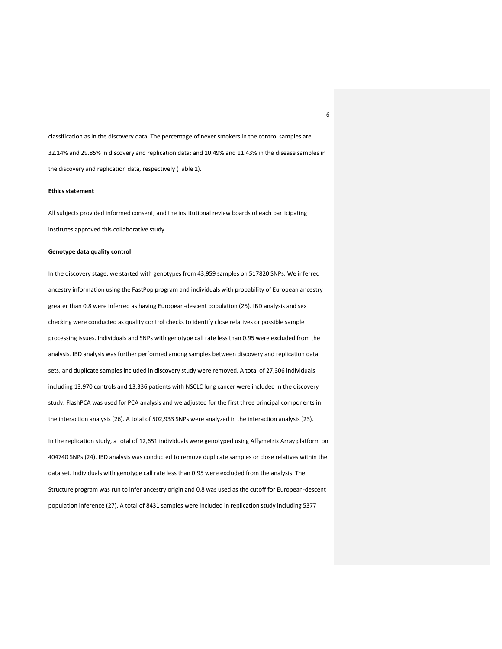classification as in the discovery data. The percentage of never smokers in the control samples are 32.14% and 29.85% in discovery and replication data; and 10.49% and 11.43% in the disease samples in the discovery and replication data, respectively (Table 1).

# **Ethics statement**

All subjects provided informed consent, and the institutional review boards of each participating institutes approved this collaborative study.

## **Genotype data quality control**

In the discovery stage, we started with genotypes from 43,959 samples on 517820 SNPs. We inferred ancestry information using the FastPop program and individuals with probability of European ancestry greater than 0.8 were inferred as having European-descent population (25). IBD analysis and sex checking were conducted as quality control checks to identify close relatives or possible sample processing issues. Individuals and SNPs with genotype call rate less than 0.95 were excluded from the analysis. IBD analysis was further performed among samples between discovery and replication data sets, and duplicate samples included in discovery study were removed. A total of 27,306 individuals including 13,970 controls and 13,336 patients with NSCLC lung cancer were included in the discovery study. FlashPCA was used for PCA analysis and we adjusted for the first three principal components in the interaction analysis (26). A total of 502,933 SNPs were analyzed in the interaction analysis (23).

In the replication study, a total of 12,651 individuals were genotyped using Affymetrix Array platform on 404740 SNPs (24). IBD analysis was conducted to remove duplicate samples or close relatives within the data set. Individuals with genotype call rate less than 0.95 were excluded from the analysis. The Structure program was run to infer ancestry origin and 0.8 was used as the cutoff for European-descent population inference (27). A total of 8431 samples were included in replication study including 5377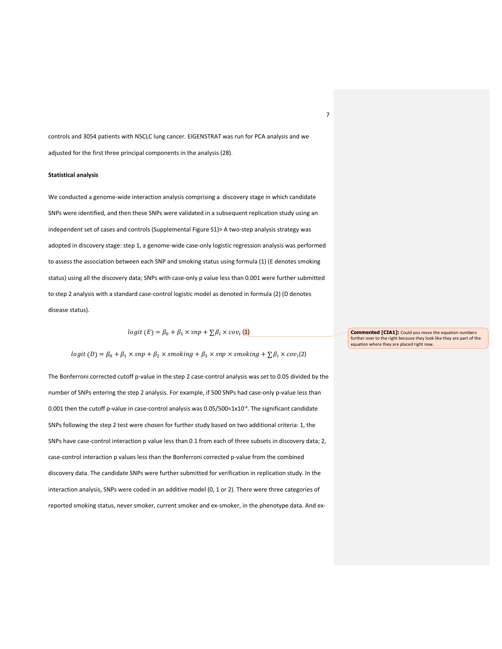controls and 3054 patients with NSCLC lung cancer. EIGENSTRAT was run for PCA analysis and we adjusted for the first three principal components in the analysis (28).

# **Statistical analysis**

We conducted a genome-wide interaction analysis comprising a discovery stage in which candidate SNPs were identified, and then these SNPs were validated in a subsequent replication study using an independent set of cases and controls (Supplemental Figure S1)> A two-step analysis strategy was adopted in discovery stage: step 1, a genome-wide case-only logistic regression analysis was performed to assess the association between each SNP and smoking status using formula (1) (E denotes smoking status) using all the discovery data; SNPs with case-only p value less than 0.001 were further submitted to step 2 analysis with a standard case-control logistic model as denoted in formula (2) (D denotes disease status).

$$
logit (E) = \beta_0 + \beta_1 \times snp + \sum \beta_i \times cov_i (\mathbf{1})
$$

$$
logit (D) = \beta_0 + \beta_1 \times snp + \beta_2 \times smoking + \beta_3 \times snp \times smoking + \sum \beta_i \times cov_i(2)
$$

The Bonferroni corrected cutoff p-value in the step 2 case-control analysis was set to 0.05 divided by the number of SNPs entering the step 2 analysis. For example, if 500 SNPs had case-only p-value less than 0.001 then the cutoff p-value in case-control analysis was  $0.05/500=1x10<sup>-4</sup>$ . The significant candidate SNPs following the step 2 test were chosen for further study based on two additional criteria: 1, the SNPs have case-control interaction p value less than 0.1 from each of three subsets in discovery data; 2, case-control interaction p values less than the Bonferroni corrected p-value from the combined discovery data. The candidate SNPs were further submitted for verification in replication study. In the interaction analysis, SNPs were coded in an additive model (0, 1 or 2). There were three categories of reported smoking status, never smoker, current smoker and ex-smoker, in the phenotype data. And ex**Commented [CIA1]:** Could you move the equation numbers further over to the right because they look like they are part of the equation where they are placed right now.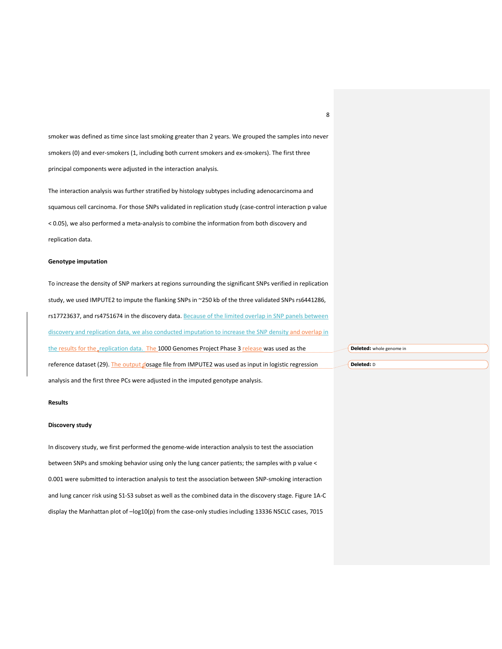smoker was defined as time since last smoking greater than 2 years. We grouped the samples into never smokers (0) and ever-smokers (1, including both current smokers and ex-smokers). The first three principal components were adjusted in the interaction analysis.

The interaction analysis was further stratified by histology subtypes including adenocarcinoma and squamous cell carcinoma. For those SNPs validated in replication study (case-control interaction p value < 0.05), we also performed a meta-analysis to combine the information from both discovery and replication data.

## **Genotype imputation**

To increase the density of SNP markers at regions surrounding the significant SNPs verified in replication study, we used IMPUTE2 to impute the flanking SNPs in ~250 kb of the three validated SNPs rs6441286, rs17723637, and rs4751674 in the discovery data. Because of the limited overlap in SNP panels between discovery and replication data, we also conducted imputation to increase the SNP density and overlap in the results for the replication data. The 1000 Genomes Project Phase 3 release was used as the reference dataset (29). The output dosage file from IMPUTE2 was used as input in logistic regression analysis and the first three PCs were adjusted in the imputed genotype analysis.

# **Results**

#### **Discovery study**

In discovery study, we first performed the genome-wide interaction analysis to test the association between SNPs and smoking behavior using only the lung cancer patients; the samples with p value < 0.001 were submitted to interaction analysis to test the association between SNP-smoking interaction and lung cancer risk using S1-S3 subset as well as the combined data in the discovery stage. Figure 1A-C display the Manhattan plot of –log10(p) from the case-only studies including 13336 NSCLC cases, 7015

**Deleted:** whole genome in

**Deleted:** D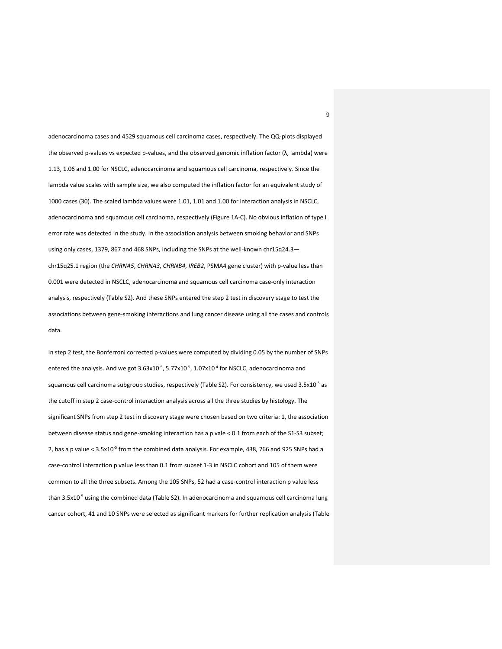adenocarcinoma cases and 4529 squamous cell carcinoma cases, respectively. The QQ-plots displayed the observed p-values vs expected p-values, and the observed genomic inflation factor (λ, lambda) were 1.13, 1.06 and 1.00 for NSCLC, adenocarcinoma and squamous cell carcinoma, respectively. Since the lambda value scales with sample size, we also computed the inflation factor for an equivalent study of 1000 cases (30). The scaled lambda values were 1.01, 1.01 and 1.00 for interaction analysis in NSCLC, adenocarcinoma and squamous cell carcinoma, respectively (Figure 1A-C). No obvious inflation of type I error rate was detected in the study. In the association analysis between smoking behavior and SNPs using only cases, 1379, 867 and 468 SNPs, including the SNPs at the well-known chr15q24.3 chr15q25.1 region (the *CHRNA5*, *CHRNA3*, *CHRNB4*, *IREB2*, PSMA4 gene cluster) with p-value less than 0.001 were detected in NSCLC, adenocarcinoma and squamous cell carcinoma case-only interaction analysis, respectively (Table S2). And these SNPs entered the step 2 test in discovery stage to test the associations between gene-smoking interactions and lung cancer disease using all the cases and controls data.

In step 2 test, the Bonferroni corrected p-values were computed by dividing 0.05 by the number of SNPs entered the analysis. And we got  $3.63x10^{-5}$ ,  $5.77x10^{-5}$ ,  $1.07x10^{-4}$  for NSCLC, adenocarcinoma and squamous cell carcinoma subgroup studies, respectively (Table S2). For consistency, we used  $3.5x10^{-5}$  as the cutoff in step 2 case-control interaction analysis across all the three studies by histology. The significant SNPs from step 2 test in discovery stage were chosen based on two criteria: 1, the association between disease status and gene-smoking interaction has a p vale < 0.1 from each of the S1-S3 subset; 2, has a p value <  $3.5x10<sup>-5</sup>$  from the combined data analysis. For example, 438, 766 and 925 SNPs had a case-control interaction p value less than 0.1 from subset 1-3 in NSCLC cohort and 105 of them were common to all the three subsets. Among the 105 SNPs, 52 had a case-control interaction p value less than 3.5x10<sup>-5</sup> using the combined data (Table S2). In adenocarcinoma and squamous cell carcinoma lung cancer cohort, 41 and 10 SNPs were selected as significant markers for further replication analysis (Table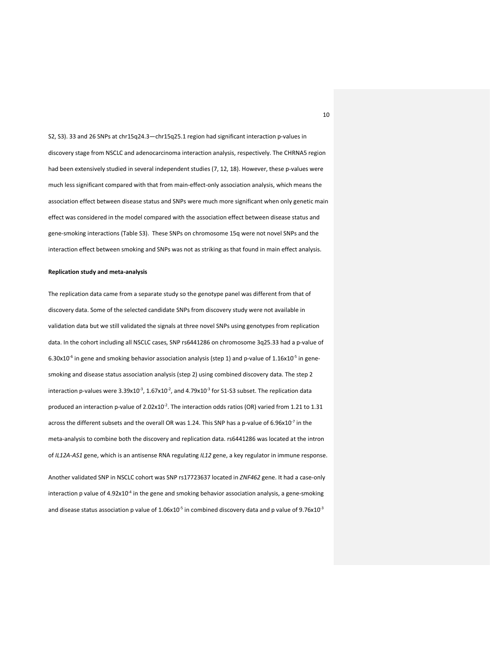S2, S3). 33 and 26 SNPs at chr15q24.3—chr15q25.1 region had significant interaction p-values in discovery stage from NSCLC and adenocarcinoma interaction analysis, respectively. The CHRNA5 region had been extensively studied in several independent studies (7, 12, 18). However, these p-values were much less significant compared with that from main-effect-only association analysis, which means the association effect between disease status and SNPs were much more significant when only genetic main effect was considered in the model compared with the association effect between disease status and gene-smoking interactions (Table S3). These SNPs on chromosome 15q were not novel SNPs and the interaction effect between smoking and SNPs was not as striking as that found in main effect analysis.

#### **Replication study and meta-analysis**

The replication data came from a separate study so the genotype panel was different from that of discovery data. Some of the selected candidate SNPs from discovery study were not available in validation data but we still validated the signals at three novel SNPs using genotypes from replication data. In the cohort including all NSCLC cases, SNP rs6441286 on chromosome 3q25.33 had a p-value of 6.30x10<sup>-6</sup> in gene and smoking behavior association analysis (step 1) and p-value of  $1.16x10^{-5}$  in genesmoking and disease status association analysis (step 2) using combined discovery data. The step 2 interaction p-values were 3.39x10<sup>-3</sup>, 1.67x10<sup>-2</sup>, and 4.79x10<sup>-3</sup> for S1-S3 subset. The replication data produced an interaction p-value of  $2.02 \times 10^{-2}$ . The interaction odds ratios (OR) varied from 1.21 to 1.31 across the different subsets and the overall OR was 1.24. This SNP has a p-value of 6.96x10<sup>-7</sup> in the meta-analysis to combine both the discovery and replication data. rs6441286 was located at the intron of *IL12A-AS1* gene, which is an antisense RNA regulating *IL12* gene, a key regulator in immune response. Another validated SNP in NSCLC cohort was SNP rs17723637 located in *ZNF462* gene. It had a case-only interaction p value of  $4.92x10^{-4}$  in the gene and smoking behavior association analysis, a gene-smoking

and disease status association p value of  $1.06 \times 10^{-5}$  in combined discovery data and p value of 9.76x10<sup>-3</sup>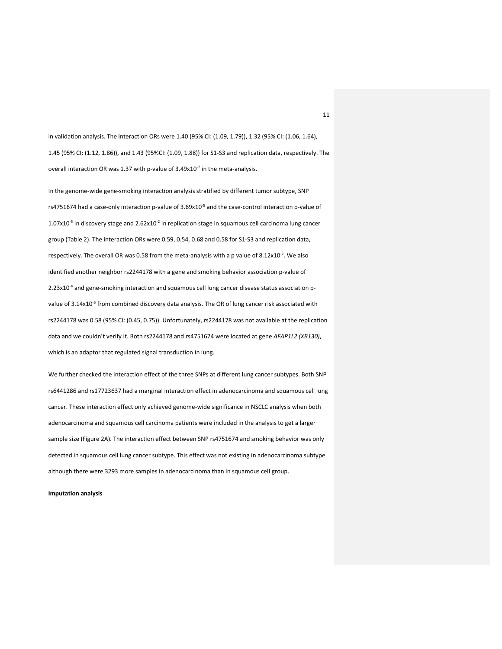in validation analysis. The interaction ORs were 1.40 (95% CI: (1.09, 1.79)), 1.32 (95% CI: (1.06, 1.64), 1.45 (95% CI: (1.12, 1.86)), and 1.43 (95%CI: (1.09, 1.88)) for S1-S3 and replication data, respectively. The overall interaction OR was 1.37 with p-value of  $3.49x10^{-7}$  in the meta-analysis.

In the genome-wide gene-smoking interaction analysis stratified by different tumor subtype, SNP rs4751674 had a case-only interaction p-value of  $3.69x10^{-5}$  and the case-control interaction p-value of  $1.07x10^{-5}$  in discovery stage and  $2.62x10^{-2}$  in replication stage in squamous cell carcinoma lung cancer group (Table 2). The interaction ORs were 0.59, 0.54, 0.68 and 0.58 for S1-S3 and replication data, respectively. The overall OR was 0.58 from the meta-analysis with a p value of  $8.12 \times 10^{-7}$ . We also identified another neighbor rs2244178 with a gene and smoking behavior association p-value of 2.23x10<sup>-4</sup> and gene-smoking interaction and squamous cell lung cancer disease status association pvalue of 3.14x10<sup>-5</sup> from combined discovery data analysis. The OR of lung cancer risk associated with rs2244178 was 0.58 (95% CI: (0.45, 0.75)). Unfortunately, rs2244178 was not available at the replication data and we couldn't verify it. Both rs2244178 and rs4751674 were located at gene *AFAP1L2 (XB130)*, which is an adaptor that regulated signal transduction in lung.

We further checked the interaction effect of the three SNPs at different lung cancer subtypes. Both SNP rs6441286 and rs17723637 had a marginal interaction effect in adenocarcinoma and squamous cell lung cancer. These interaction effect only achieved genome-wide significance in NSCLC analysis when both adenocarcinoma and squamous cell carcinoma patients were included in the analysis to get a larger sample size (Figure 2A). The interaction effect between SNP rs4751674 and smoking behavior was only detected in squamous cell lung cancer subtype. This effect was not existing in adenocarcinoma subtype although there were 3293 more samples in adenocarcinoma than in squamous cell group.

**Imputation analysis**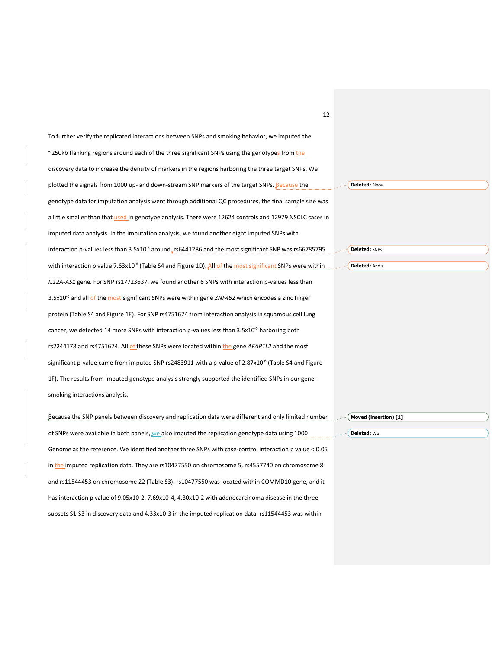| 12                                                                                                                   |                       |
|----------------------------------------------------------------------------------------------------------------------|-----------------------|
| To further verify the replicated interactions between SNPs and smoking behavior, we imputed the                      |                       |
| ~250kb flanking regions around each of the three significant SNPs using the genotypes from the                       |                       |
| discovery data to increase the density of markers in the regions harboring the three target SNPs. We                 |                       |
| plotted the signals from 1000 up- and down-stream SNP markers of the target SNPs. Because the                        | <b>Deleted:</b> Since |
| genotype data for imputation analysis went through additional QC procedures, the final sample size was               |                       |
| a little smaller than that used in genotype analysis. There were 12624 controls and 12979 NSCLC cases in             |                       |
| imputed data analysis. In the imputation analysis, we found another eight imputed SNPs with                          |                       |
| interaction p-values less than 3.5x10 <sup>-5</sup> around_rs6441286 and the most significant SNP was rs66785795     | Deleted: SNPs         |
| with interaction p value $7.63x10^{-6}$ (Table S4 and Figure 1D). All of the most significant SNPs were within       | Deleted: And a        |
| IL12A-AS1 gene. For SNP rs17723637, we found another 6 SNPs with interaction p-values less than                      |                       |
| 3.5x10 <sup>-5</sup> and all of the most significant SNPs were within gene <i>ZNF462</i> which encodes a zinc finger |                       |
| protein (Table S4 and Figure 1E). For SNP rs4751674 from interaction analysis in squamous cell lung                  |                       |
| cancer, we detected 14 more SNPs with interaction p-values less than $3.5x10^{-5}$ harboring both                    |                       |
| rs2244178 and rs4751674. All of these SNPs were located within the gene AFAP1L2 and the most                         |                       |
| significant p-value came from imputed SNP rs2483911 with a p-value of $2.87 \times 10^{-6}$ (Table S4 and Figure     |                       |
| 1F). The results from imputed genotype analysis strongly supported the identified SNPs in our gene-                  |                       |
| smoking interactions analysis.                                                                                       |                       |
| Because the SNP panels between discovery and replication data were different and only limited number                 | Moved (insertion) [1] |
| of SNPs were available in both panels, we also imputed the replication genotype data using 1000                      | Deleted: We           |
| Genome as the reference. We identified another three SNPs with case-control interaction p value < 0.05               |                       |
| in the imputed replication data. They are rs10477550 on chromosome 5, rs4557740 on chromosome 8                      |                       |
| and rs11544453 on chromosome 22 (Table S3). rs10477550 was located within COMMD10 gene, and it                       |                       |
| has interaction p value of 9.05x10-2, 7.69x10-4, 4.30x10-2 with adenocarcinoma disease in the three                  |                       |
| subsets S1-S3 in discovery data and 4.33x10-3 in the imputed replication data. rs11544453 was within                 |                       |
|                                                                                                                      |                       |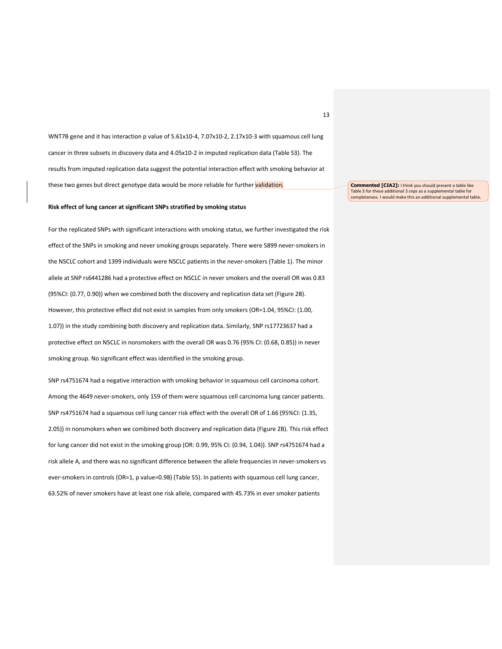WNT7B gene and it has interaction p value of 5.61x10-4, 7.07x10-2, 2.17x10-3 with squamous cell lung cancer in three subsets in discovery data and 4.05x10-2 in imputed replication data (Table S3). The results from imputed replication data suggest the potential interaction effect with smoking behavior at these two genes but direct genotype data would be more reliable for further validation.

## **Risk effect of lung cancer at significant SNPs stratified by smoking status**

For the replicated SNPs with significant interactions with smoking status, we further investigated the risk effect of the SNPs in smoking and never smoking groups separately. There were 5899 never-smokers in the NSCLC cohort and 1399 individuals were NSCLC patients in the never-smokers (Table 1). The minor allele at SNP rs6441286 had a protective effect on NSCLC in never smokers and the overall OR was 0.83 (95%CI: (0.77, 0.90)) when we combined both the discovery and replication data set (Figure 2B). However, this protective effect did not exist in samples from only smokers (OR=1.04, 95%CI: (1.00, 1.07)) in the study combining both discovery and replication data. Similarly, SNP rs17723637 had a protective effect on NSCLC in nonsmokers with the overall OR was 0.76 (95% CI: (0.68, 0.85)) in never smoking group. No significant effect was identified in the smoking group.

SNP rs4751674 had a negative interaction with smoking behavior in squamous cell carcinoma cohort. Among the 4649 never-smokers, only 159 of them were squamous cell carcinoma lung cancer patients. SNP rs4751674 had a squamous cell lung cancer risk effect with the overall OR of 1.66 (95%CI: (1.35, 2.05)) in nonsmokers when we combined both discovery and replication data (Figure 2B). This risk effect for lung cancer did not exist in the smoking group (OR: 0.99, 95% CI: (0.94, 1.04)). SNP rs4751674 had a risk allele A, and there was no significant difference between the allele frequencies in never-smokers vs ever-smokers in controls (OR=1, p value=0.98) (Table S5). In patients with squamous cell lung cancer, 63.52% of never smokers have at least one risk allele, compared with 45.73% in ever smoker patients

**Commented [CIA2]:** I think you should present a table like Table 3 for these additional 3 snps as a supplemental table for completeness. I would make this an additional supplemental table.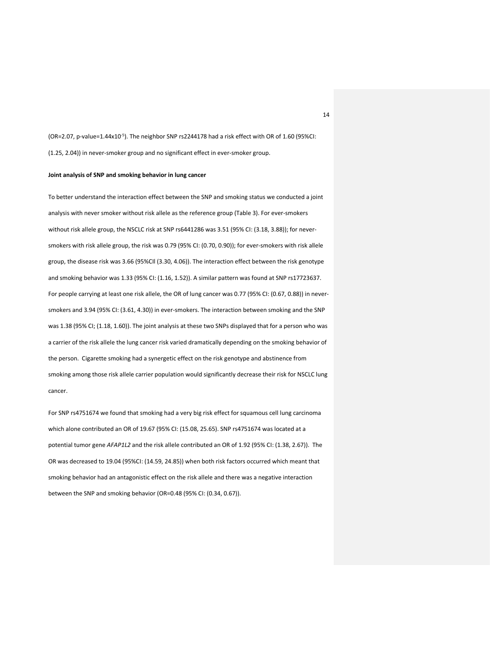$(OR=2.07, p-value=1.44x10<sup>-5</sup>)$ . The neighbor SNP rs2244178 had a risk effect with OR of 1.60 (95%CI: (1.25, 2.04)) in never-smoker group and no significant effect in ever-smoker group.

# **Joint analysis of SNP and smoking behavior in lung cancer**

To better understand the interaction effect between the SNP and smoking status we conducted a joint analysis with never smoker without risk allele as the reference group (Table 3). For ever-smokers without risk allele group, the NSCLC risk at SNP rs6441286 was 3.51 (95% CI: (3.18, 3.88)); for neversmokers with risk allele group, the risk was 0.79 (95% CI: (0.70, 0.90)); for ever-smokers with risk allele group, the disease risk was 3.66 (95%CIl (3.30, 4.06)). The interaction effect between the risk genotype and smoking behavior was 1.33 (95% CI: (1.16, 1.52)). A similar pattern was found at SNP rs17723637. For people carrying at least one risk allele, the OR of lung cancer was 0.77 (95% CI: (0.67, 0.88)) in neversmokers and 3.94 (95% CI: (3.61, 4.30)) in ever-smokers. The interaction between smoking and the SNP was 1.38 (95% CI; (1.18, 1.60)). The joint analysis at these two SNPs displayed that for a person who was a carrier of the risk allele the lung cancer risk varied dramatically depending on the smoking behavior of the person. Cigarette smoking had a synergetic effect on the risk genotype and abstinence from smoking among those risk allele carrier population would significantly decrease their risk for NSCLC lung cancer.

For SNP rs4751674 we found that smoking had a very big risk effect for squamous cell lung carcinoma which alone contributed an OR of 19.67 (95% CI: (15.08, 25.65). SNP rs4751674 was located at a potential tumor gene *AFAP1L2* and the risk allele contributed an OR of 1.92 (95% CI: (1.38, 2.67)). The OR was decreased to 19.04 (95%CI: (14.59, 24.85)) when both risk factors occurred which meant that smoking behavior had an antagonistic effect on the risk allele and there was a negative interaction between the SNP and smoking behavior (OR=0.48 (95% CI: (0.34, 0.67)).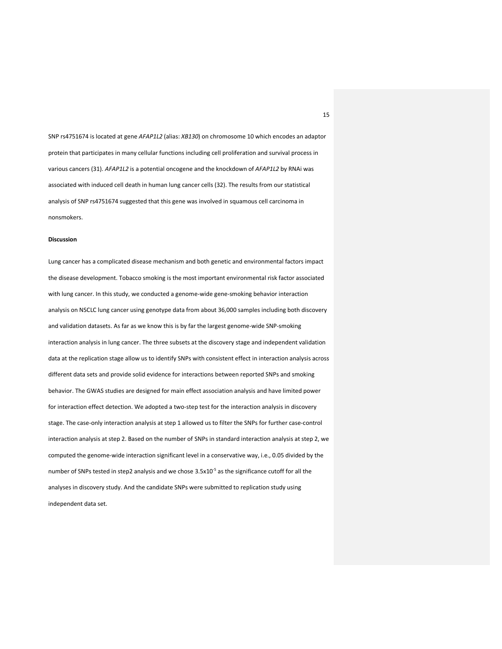SNP rs4751674 is located at gene *AFAP1L2* (alias: *XB130*) on chromosome 10 which encodes an adaptor protein that participates in many cellular functions including cell proliferation and survival process in various cancers (31). *AFAP1L2* is a potential oncogene and the knockdown of *AFAP1L2* by RNAi was associated with induced cell death in human lung cancer cells (32). The results from our statistical analysis of SNP rs4751674 suggested that this gene was involved in squamous cell carcinoma in nonsmokers.

#### **Discussion**

Lung cancer has a complicated disease mechanism and both genetic and environmental factors impact the disease development. Tobacco smoking is the most important environmental risk factor associated with lung cancer. In this study, we conducted a genome-wide gene-smoking behavior interaction analysis on NSCLC lung cancer using genotype data from about 36,000 samples including both discovery and validation datasets. As far as we know this is by far the largest genome-wide SNP-smoking interaction analysis in lung cancer. The three subsets at the discovery stage and independent validation data at the replication stage allow us to identify SNPs with consistent effect in interaction analysis across different data sets and provide solid evidence for interactions between reported SNPs and smoking behavior. The GWAS studies are designed for main effect association analysis and have limited power for interaction effect detection. We adopted a two-step test for the interaction analysis in discovery stage. The case-only interaction analysis at step 1 allowed us to filter the SNPs for further case-control interaction analysis at step 2. Based on the number of SNPs in standard interaction analysis at step 2, we computed the genome-wide interaction significant level in a conservative way, i.e., 0.05 divided by the number of SNPs tested in step2 analysis and we chose  $3.5x10^{-5}$  as the significance cutoff for all the analyses in discovery study. And the candidate SNPs were submitted to replication study using independent data set.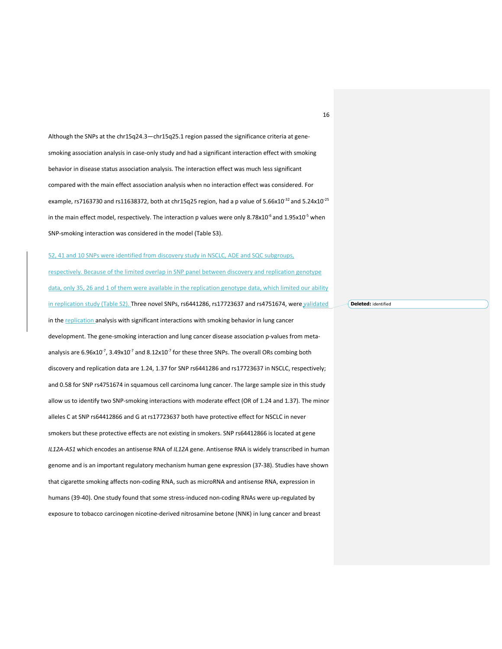Although the SNPs at the chr15q24.3—chr15q25.1 region passed the significance criteria at genesmoking association analysis in case-only study and had a significant interaction effect with smoking behavior in disease status association analysis. The interaction effect was much less significant compared with the main effect association analysis when no interaction effect was considered. For example, rs7163730 and rs11638372, both at chr15q25 region, had a p value of 5.66x10 $^{32}$  and 5.24x10 $^{25}$ in the main effect model, respectively. The interaction p values were only 8.78x10<sup>-6</sup> and 1.95x10<sup>-5</sup> when SNP-smoking interaction was considered in the model (Table S3).

52, 41 and 10 SNPs were identified from discovery study in NSCLC, ADE and SQC subgroups, respectively. Because of the limited overlap in SNP panel between discovery and replication genotype data, only 35, 26 and 1 of them were available in the replication genotype data, which limited our ability in replication study (Table S2). Three novel SNPs, rs6441286, rs17723637 and rs4751674, were validated in the replication analysis with significant interactions with smoking behavior in lung cancer development. The gene-smoking interaction and lung cancer disease association p-values from metaanalysis are 6.96x10<sup>-7</sup>, 3.49x10<sup>-7</sup> and 8.12x10<sup>-7</sup> for these three SNPs. The overall ORs combing both discovery and replication data are 1.24, 1.37 for SNP rs6441286 and rs17723637 in NSCLC, respectively; and 0.58 for SNP rs4751674 in squamous cell carcinoma lung cancer. The large sample size in this study allow us to identify two SNP-smoking interactions with moderate effect (OR of 1.24 and 1.37). The minor alleles C at SNP rs64412866 and G at rs17723637 both have protective effect for NSCLC in never smokers but these protective effects are not existing in smokers. SNP rs64412866 is located at gene *IL12A-AS1* which encodes an antisense RNA of *IL12A* gene. Antisense RNA is widely transcribed in human genome and is an important regulatory mechanism human gene expression (37-38). Studies have shown that cigarette smoking affects non-coding RNA, such as microRNA and antisense RNA, expression in humans (39-40). One study found that some stress-induced non-coding RNAs were up-regulated by exposure to tobacco carcinogen nicotine-derived nitrosamine betone (NNK) in lung cancer and breast

**Deleted:** identified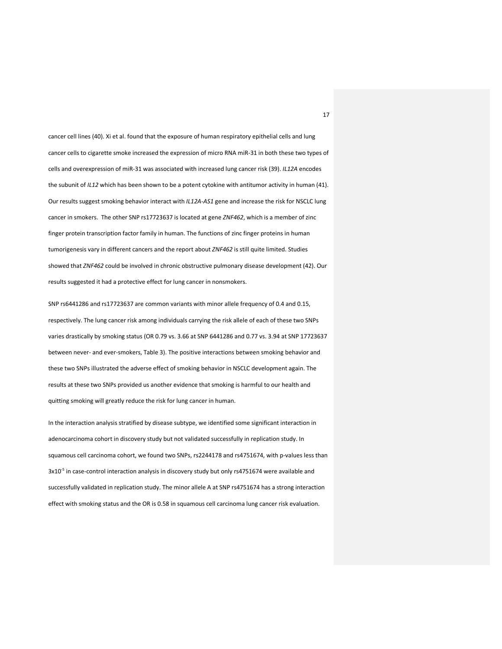cancer cell lines (40). Xi et al. found that the exposure of human respiratory epithelial cells and lung cancer cells to cigarette smoke increased the expression of micro RNA miR-31 in both these two types of cells and overexpression of miR-31 was associated with increased lung cancer risk (39). *IL12A* encodes the subunit of *IL12* which has been shown to be a potent cytokine with antitumor activity in human (41). Our results suggest smoking behavior interact with *IL12A-AS1* gene and increase the risk for NSCLC lung cancer in smokers. The other SNP rs17723637 is located at gene *ZNF462*, which is a member of zinc finger protein transcription factor family in human. The functions of zinc finger proteins in human tumorigenesis vary in different cancers and the report about *ZNF462* is still quite limited. Studies showed that *ZNF462* could be involved in chronic obstructive pulmonary disease development (42). Our results suggested it had a protective effect for lung cancer in nonsmokers.

SNP rs6441286 and rs17723637 are common variants with minor allele frequency of 0.4 and 0.15, respectively. The lung cancer risk among individuals carrying the risk allele of each of these two SNPs varies drastically by smoking status (OR 0.79 vs. 3.66 at SNP 6441286 and 0.77 vs. 3.94 at SNP 17723637 between never- and ever-smokers, Table 3). The positive interactions between smoking behavior and these two SNPs illustrated the adverse effect of smoking behavior in NSCLC development again. The results at these two SNPs provided us another evidence that smoking is harmful to our health and quitting smoking will greatly reduce the risk for lung cancer in human.

In the interaction analysis stratified by disease subtype, we identified some significant interaction in adenocarcinoma cohort in discovery study but not validated successfully in replication study. In squamous cell carcinoma cohort, we found two SNPs, rs2244178 and rs4751674, with p-values less than 3x10<sup>-5</sup> in case-control interaction analysis in discovery study but only rs4751674 were available and successfully validated in replication study. The minor allele A at SNP rs4751674 has a strong interaction effect with smoking status and the OR is 0.58 in squamous cell carcinoma lung cancer risk evaluation.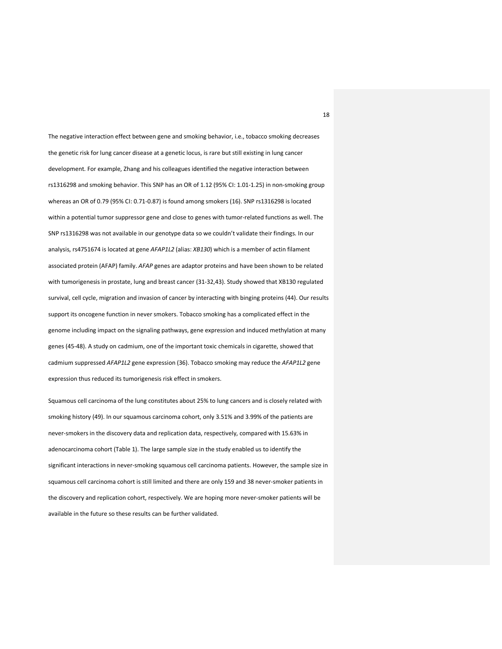The negative interaction effect between gene and smoking behavior, i.e., tobacco smoking decreases the genetic risk for lung cancer disease at a genetic locus, is rare but still existing in lung cancer development. For example, Zhang and his colleagues identified the negative interaction between rs1316298 and smoking behavior. This SNP has an OR of 1.12 (95% CI: 1.01-1.25) in non-smoking group whereas an OR of 0.79 (95% CI: 0.71-0.87) is found among smokers (16). SNP rs1316298 is located within a potential tumor suppressor gene and close to genes with tumor-related functions as well. The SNP rs1316298 was not available in our genotype data so we couldn't validate their findings. In our analysis, rs4751674 is located at gene *AFAP1L2* (alias: *XB130*) which is a member of actin filament associated protein (AFAP) family. *AFAP* genes are adaptor proteins and have been shown to be related with tumorigenesis in prostate, lung and breast cancer (31-32,43). Study showed that XB130 regulated survival, cell cycle, migration and invasion of cancer by interacting with binging proteins (44). Our results support its oncogene function in never smokers. Tobacco smoking has a complicated effect in the genome including impact on the signaling pathways, gene expression and induced methylation at many genes (45-48). A study on cadmium, one of the important toxic chemicals in cigarette, showed that cadmium suppressed *AFAP1L2* gene expression (36). Tobacco smoking may reduce the *AFAP1L2* gene expression thus reduced its tumorigenesis risk effect in smokers.

Squamous cell carcinoma of the lung constitutes about 25% to lung cancers and is closely related with smoking history (49). In our squamous carcinoma cohort, only 3.51% and 3.99% of the patients are never-smokers in the discovery data and replication data, respectively, compared with 15.63% in adenocarcinoma cohort (Table 1). The large sample size in the study enabled us to identify the significant interactions in never-smoking squamous cell carcinoma patients. However, the sample size in squamous cell carcinoma cohort is still limited and there are only 159 and 38 never-smoker patients in the discovery and replication cohort, respectively. We are hoping more never-smoker patients will be available in the future so these results can be further validated.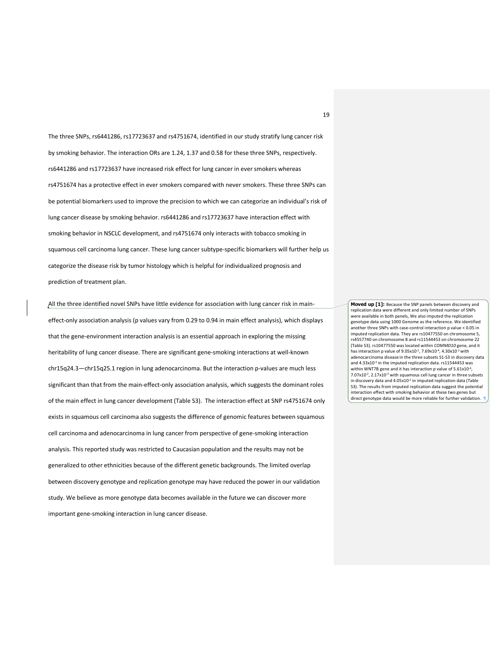The three SNPs, rs6441286, rs17723637 and rs4751674, identified in our study stratify lung cancer risk by smoking behavior. The interaction ORs are 1.24, 1.37 and 0.58 for these three SNPs, respectively. rs6441286 and rs17723637 have increased risk effect for lung cancer in ever smokers whereas rs4751674 has a protective effect in ever smokers compared with never smokers. These three SNPs can be potential biomarkers used to improve the precision to which we can categorize an individual's risk of lung cancer disease by smoking behavior. rs6441286 and rs17723637 have interaction effect with smoking behavior in NSCLC development, and rs4751674 only interacts with tobacco smoking in squamous cell carcinoma lung cancer. These lung cancer subtype-specific biomarkers will further help us categorize the disease risk by tumor histology which is helpful for individualized prognosis and prediction of treatment plan.

All the three identified novel SNPs have little evidence for association with lung cancer risk in maineffect-only association analysis (p values vary from 0.29 to 0.94 in main effect analysis), which displays that the gene-environment interaction analysis is an essential approach in exploring the missing heritability of lung cancer disease. There are significant gene-smoking interactions at well-known chr15q24.3—chr15q25.1 region in lung adenocarcinoma. But the interaction p-values are much less significant than that from the main-effect-only association analysis, which suggests the dominant roles of the main effect in lung cancer development (Table S3). The interaction effect at SNP rs4751674 only exists in squamous cell carcinoma also suggests the difference of genomic features between squamous cell carcinoma and adenocarcinoma in lung cancer from perspective of gene-smoking interaction analysis. This reported study was restricted to Caucasian population and the results may not be generalized to other ethnicities because of the different genetic backgrounds. The limited overlap between discovery genotype and replication genotype may have reduced the power in our validation study. We believe as more genotype data becomes available in the future we can discover more important gene-smoking interaction in lung cancer disease.

**Moved up [1]:** Because the SNP panels between discovery and replication data were different and only limited number of SNPs were available in both panels, We also imputed the replication genotype data using 1000 Genome as the reference. We identified another three SNPs with case-control interaction p value < 0.05 in imputed replication data. They are rs10477550 on chromosome 5, rs4557740 on chromosome 8 and rs11544453 on chromosome 22 (Table S3). rs10477550 was located within *COMMD10* gene, and it has interaction p value of 9.05x10-2, 7.69x10-4, 4.30x10-2 with adenocarcinoma disease in the three subsets S1-S3 in discovery data and 4.33x10<sup>-3</sup> in the imputed replication data. rs11544453 was within WNT7B gene and it has interaction p value of 5.61x10<sup>-4</sup>, 7.07x10<sup>-2</sup>, 2.17x10<sup>-3</sup> with squamous cell lung cancer in three subsets in discovery data and 4.05x10<sup>-2</sup> in imputed replication data (Table S3). The results from imputed replication data suggest the potential interaction effect with smoking behavior at these two genes but direct genotype data would be more reliable for further validation.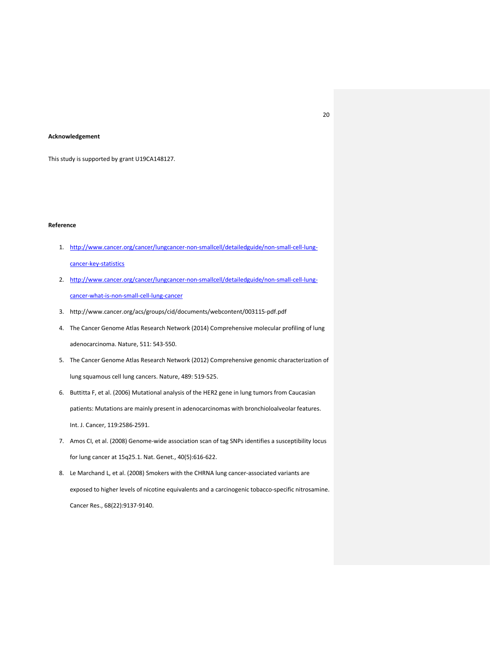## **Acknowledgement**

This study is supported by grant U19CA148127.

# **Reference**

- 1. http://www.cancer.org/cancer/lungcancer-non-smallcell/detailedguide/non-small-cell-lungcancer-key-statistics
- 2. http://www.cancer.org/cancer/lungcancer-non-smallcell/detailedguide/non-small-cell-lungcancer-what-is-non-small-cell-lung-cancer
- 3. http://www.cancer.org/acs/groups/cid/documents/webcontent/003115-pdf.pdf
- 4. The Cancer Genome Atlas Research Network (2014) Comprehensive molecular profiling of lung adenocarcinoma. Nature, 511: 543-550.
- 5. The Cancer Genome Atlas Research Network (2012) Comprehensive genomic characterization of lung squamous cell lung cancers. Nature, 489: 519-525.
- 6. Buttitta F, et al. (2006) Mutational analysis of the HER2 gene in lung tumors from Caucasian patients: Mutations are mainly present in adenocarcinomas with bronchioloalveolar features. Int. J. Cancer, 119:2586-2591.
- 7. Amos CI, et al. (2008) Genome-wide association scan of tag SNPs identifies a susceptibility locus for lung cancer at 15q25.1. Nat. Genet., 40(5):616-622.
- 8. Le Marchand L, et al. (2008) Smokers with the CHRNA lung cancer-associated variants are exposed to higher levels of nicotine equivalents and a carcinogenic tobacco-specific nitrosamine. Cancer Res., 68(22):9137-9140.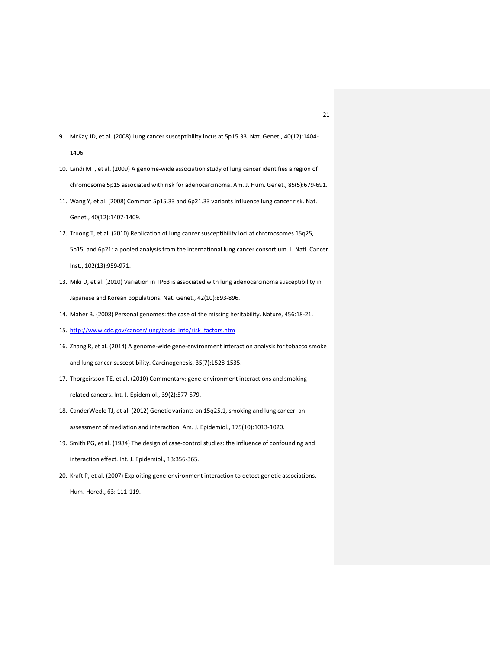- 9. McKay JD, et al. (2008) Lung cancer susceptibility locus at 5p15.33. Nat. Genet., 40(12):1404- 1406.
- 10. Landi MT, et al. (2009) A genome-wide association study of lung cancer identifies a region of chromosome 5p15 associated with risk for adenocarcinoma. Am. J. Hum. Genet., 85(5):679-691.
- 11. Wang Y, et al. (2008) Common 5p15.33 and 6p21.33 variants influence lung cancer risk. Nat. Genet., 40(12):1407-1409.
- 12. Truong T, et al. (2010) Replication of lung cancer susceptibility loci at chromosomes 15q25, 5p15, and 6p21: a pooled analysis from the international lung cancer consortium. J. Natl. Cancer Inst., 102(13):959-971.
- 13. Miki D, et al. (2010) Variation in TP63 is associated with lung adenocarcinoma susceptibility in Japanese and Korean populations. Nat. Genet., 42(10):893-896.
- 14. Maher B. (2008) Personal genomes: the case of the missing heritability. Nature, 456:18-21.
- 15. http://www.cdc.gov/cancer/lung/basic\_info/risk\_factors.htm
- 16. Zhang R, et al. (2014) A genome-wide gene-environment interaction analysis for tobacco smoke and lung cancer susceptibility. Carcinogenesis, 35(7):1528-1535.
- 17. Thorgeirsson TE, et al. (2010) Commentary: gene-environment interactions and smokingrelated cancers. Int. J. Epidemiol., 39(2):577-579.
- 18. CanderWeele TJ, et al. (2012) Genetic variants on 15q25.1, smoking and lung cancer: an assessment of mediation and interaction. Am. J. Epidemiol., 175(10):1013-1020.
- 19. Smith PG, et al. (1984) The design of case-control studies: the influence of confounding and interaction effect. Int. J. Epidemiol., 13:356-365.
- 20. Kraft P, et al. (2007) Exploiting gene-environment interaction to detect genetic associations. Hum. Hered., 63: 111-119.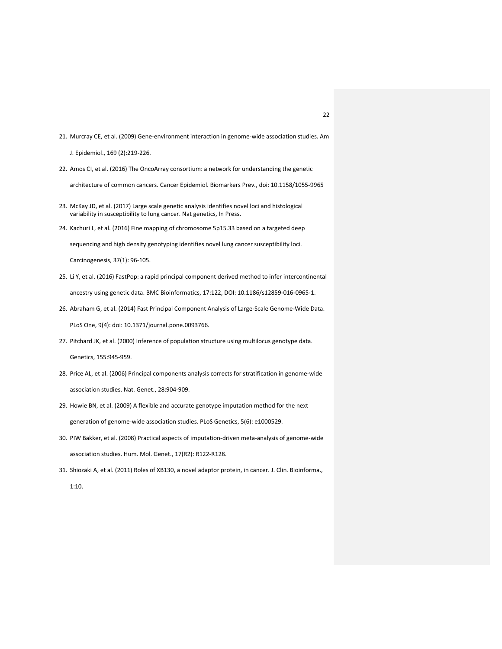21. Murcray CE, et al. (2009) Gene-environment interaction in genome-wide association studies. Am

J. Epidemiol., 169 (2):219-226.

22. Amos CI, et al. (2016) The OncoArray consortium: a network for understanding the genetic

architecture of common cancers. Cancer Epidemiol. Biomarkers Prev., doi: 10.1158/1055-9965

- 23. McKay JD, et al. (2017) Large scale genetic analysis identifies novel loci and histological variability in susceptibility to lung cancer. Nat genetics, In Press.
- 24. Kachuri L, et al. (2016) Fine mapping of chromosome 5p15.33 based on a targeted deep

sequencing and high density genotyping identifies novel lung cancer susceptibility loci.

Carcinogenesis, 37(1): 96-105.

- 25. Li Y, et al. (2016) FastPop: a rapid principal component derived method to infer intercontinental ancestry using genetic data. BMC Bioinformatics, 17:122, DOI: 10.1186/s12859-016-0965-1.
- 26. Abraham G, et al. (2014) Fast Principal Component Analysis of Large-Scale Genome-Wide Data. PLoS One, 9(4): doi: 10.1371/journal.pone.0093766.
- 27. Pitchard JK, et al. (2000) Inference of population structure using multilocus genotype data. Genetics, 155:945-959.
- 28. Price AL, et al. (2006) Principal components analysis corrects for stratification in genome-wide association studies. Nat. Genet., 28:904-909.
- 29. Howie BN, et al. (2009) A flexible and accurate genotype imputation method for the next generation of genome-wide association studies. PLoS Genetics, 5(6): e1000529.
- 30. PIW Bakker, et al. (2008) Practical aspects of imputation-driven meta-analysis of genome-wide association studies. Hum. Mol. Genet., 17(R2): R122-R128.
- 31. Shiozaki A, et al. (2011) Roles of XB130, a novel adaptor protein, in cancer. J. Clin. Bioinforma., 1:10.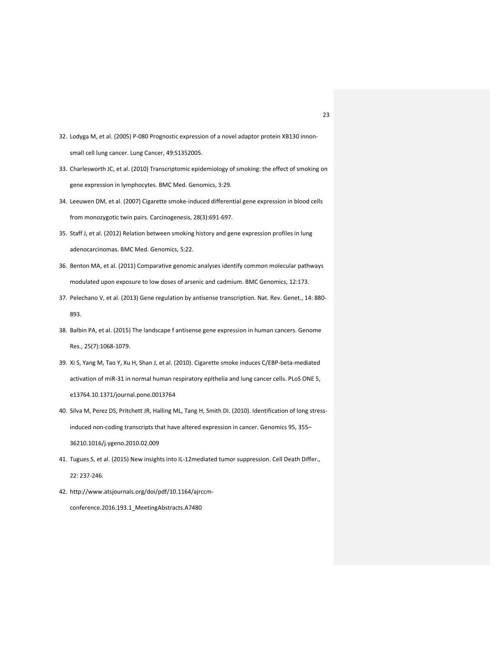- 32. Lodyga M, et al. (2005) P-080 Prognostic expression of a novel adaptor protein XB130 innonsmall cell lung cancer. Lung Cancer, 49:S1352005.
- 33. Charlesworth JC, et al. (2010) Transcriptomic epidemiology of smoking: the effect of smoking on gene expression in lymphocytes. BMC Med. Genomics, 3:29.
- 34. Leeuwen DM, et al. (2007) Cigarette smoke-induced differential gene expression in blood cells from monozygotic twin pairs. Carcinogenesis, 28(3):691-697.
- 35. Staff J, et al. (2012) Relation between smoking history and gene expression profiles in lung adenocarcinomas. BMC Med. Genomics, 5:22.
- 36. Benton MA, et al. (2011) Comparative genomic analyses identify common molecular pathways modulated upon exposure to low doses of arsenic and cadmium. BMC Genomics, 12:173.
- 37. Pelechano V, et al. (2013) Gene regulation by antisense transcription. Nat. Rev. Genet., 14: 880- 893.
- 38. Balbin PA, et al. (2015) The landscape f antisense gene expression in human cancers. Genome Res., 25(7):1068-1079.
- 39. Xi S, Yang M, Tao Y, Xu H, Shan J, et al. (2010). Cigarette smoke induces C/EBP-beta-mediated activation of miR-31 in normal human respiratory epithelia and lung cancer cells. PLoS ONE 5, e13764.10.1371/journal.pone.0013764
- 40. Silva M, Perez DS, Pritchett JR, Halling ML, Tang H, Smith DI. (2010). Identification of long stressinduced non-coding transcripts that have altered expression in cancer. Genomics 95, 355– 36210.1016/j.ygeno.2010.02.009
- 41. Tugues S, et al. (2015) New insights into IL-12mediated tumor suppression. Cell Death Differ., 22: 237-246.
- 42. http://www.atsjournals.org/doi/pdf/10.1164/ajrccmconference.2016.193.1\_MeetingAbstracts.A7480